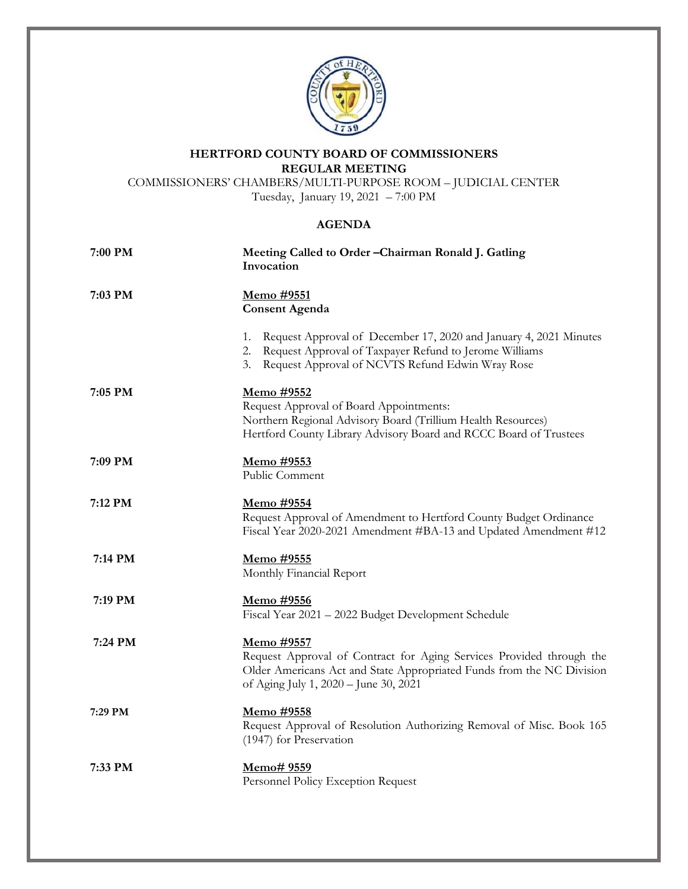

## **HERTFORD COUNTY BOARD OF COMMISSIONERS REGULAR MEETING**

COMMISSIONERS' CHAMBERS/MULTI-PURPOSE ROOM – JUDICIAL CENTER Tuesday, January 19, 2021 – 7:00 PM

## **AGENDA**

| 7:00 PM | Meeting Called to Order-Chairman Ronald J. Gatling<br>Invocation                                                                                                                                     |
|---------|------------------------------------------------------------------------------------------------------------------------------------------------------------------------------------------------------|
| 7:03 PM | Memo #9551<br><b>Consent Agenda</b>                                                                                                                                                                  |
|         | Request Approval of December 17, 2020 and January 4, 2021 Minutes<br>1.<br>Request Approval of Taxpayer Refund to Jerome Williams<br>2.<br>Request Approval of NCVTS Refund Edwin Wray Rose<br>3.    |
| 7:05 PM | Memo #9552<br>Request Approval of Board Appointments:<br>Northern Regional Advisory Board (Trillium Health Resources)<br>Hertford County Library Advisory Board and RCCC Board of Trustees           |
| 7:09 PM | Memo #9553<br>Public Comment                                                                                                                                                                         |
| 7:12 PM | <u>Memo #9554</u><br>Request Approval of Amendment to Hertford County Budget Ordinance<br>Fiscal Year 2020-2021 Amendment #BA-13 and Updated Amendment #12                                           |
| 7:14 PM | <u>Memo #9555</u><br>Monthly Financial Report                                                                                                                                                        |
| 7:19 PM | Memo #9556<br>Fiscal Year 2021 - 2022 Budget Development Schedule                                                                                                                                    |
| 7:24 PM | Memo #9557<br>Request Approval of Contract for Aging Services Provided through the<br>Older Americans Act and State Appropriated Funds from the NC Division<br>of Aging July 1, 2020 – June 30, 2021 |
| 7:29 PM | Memo #9558<br>Request Approval of Resolution Authorizing Removal of Misc. Book 165<br>(1947) for Preservation                                                                                        |
| 7:33 PM | Memo# 9559<br>Personnel Policy Exception Request                                                                                                                                                     |